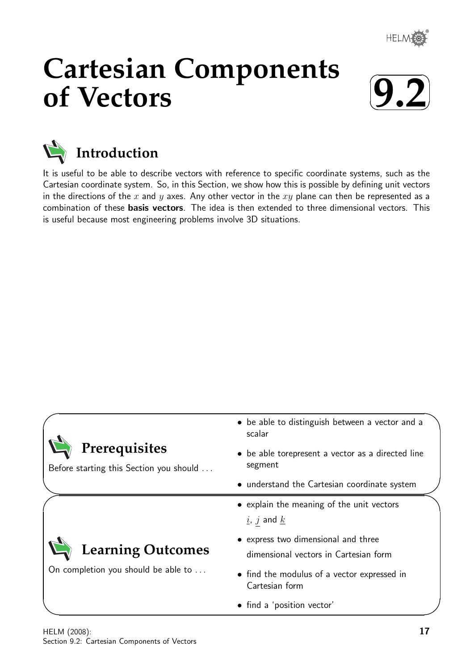

# **Cartesian Components of Vectors**





**Introduction**

It is useful to be able to describe vectors with reference to specific coordinate systems, such as the Cartesian coordinate system. So, in this Section, we show how this is possible by defining unit vectors in the directions of the x and y axes. Any other vector in the  $xy$  plane can then be represented as a combination of these basis vectors. The idea is then extended to three dimensional vectors. This is useful because most engineering problems involve 3D situations.

| • be able to distinguish between a vector and a<br>scalar                                          |
|----------------------------------------------------------------------------------------------------|
| • be able torepresent a vector as a directed line<br>segment                                       |
| • understand the Cartesian coordinate system                                                       |
| • explain the meaning of the unit vectors<br>$\underline{i}$ , $\underline{j}$ and $\underline{k}$ |
| • express two dimensional and three<br>dimensional vectors in Cartesian form                       |
| • find the modulus of a vector expressed in<br>Cartesian form                                      |
| • find a 'position vector'                                                                         |
|                                                                                                    |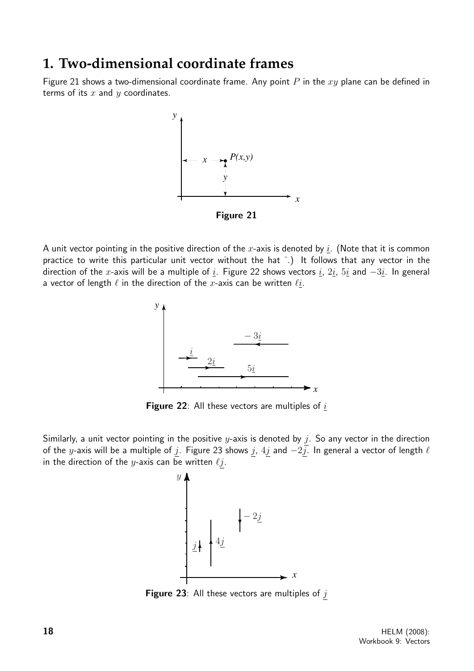# **1. Two-dimensional coordinate frames**

Figure 21 shows a two-dimensional coordinate frame. Any point  $P$  in the  $xy$  plane can be defined in terms of its  $x$  and  $y$  coordinates.



A unit vector pointing in the positive direction of the x-axis is denoted by i. (Note that it is common practice to write this particular unit vector without the hat ˆ.) It follows that any vector in the direction of the x-axis will be a multiple of i. Figure 22 shows vectors i,  $2i$ ,  $5i$  and  $-3i$ . In general a vector of length  $\ell$  in the direction of the x-axis can be written  $\ell i$ .



Figure 22: All these vectors are multiples of  $i$ 

Similarly, a unit vector pointing in the positive y-axis is denoted by  $j$ . So any vector in the direction of the y-axis will be a multiple of  $\underline{j}$ . Figure 23 shows  $\underline{j}$ ,  $4\underline{j}$  and  $-2\overline{j}$ . In general a vector of length  $\ell$ in the direction of the *y*-axis can be written  $\ell j$ .



Figure 23: All these vectors are multiples of  $j$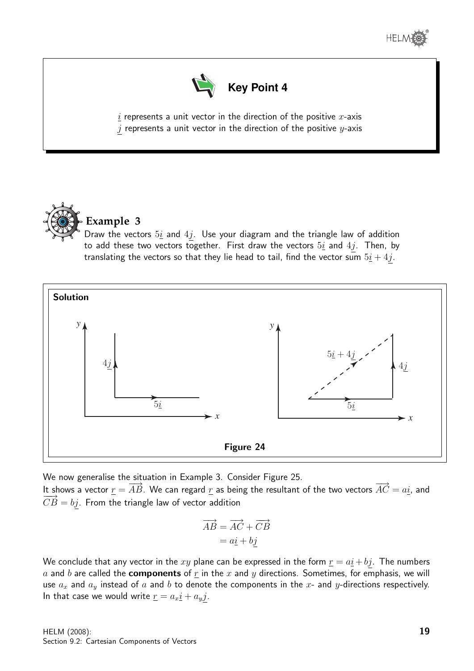



 $i$  represents a unit vector in the direction of the positive x-axis  $j$  represents a unit vector in the direction of the positive  $y$ -axis



# **Example 3**

Draw the vectors  $5i$  and  $4j$ . Use your diagram and the triangle law of addition to add these two vectors together. First draw the vectors  $5i$  and  $4j$ . Then, by translating the vectors so that they lie head to tail, find the vector sum  $5i + 4j$ .



We now generalise the situation in Example 3. Consider Figure 25. It shows a vector  $\underline{r} = \overrightarrow{AB}$ . We can regard  $\underline{r}$  as being the resultant of the two vectors  $\overrightarrow{AC} = a\underline{i}$ , and  $\overrightarrow{CB} = bj$ . From the triangle law of vector addition

$$
\overrightarrow{AB} = \overrightarrow{AC} + \overrightarrow{CB}
$$

$$
= a\underline{i} + b\underline{j}
$$

We conclude that any vector in the xy plane can be expressed in the form  $r = a\mathbf{i} + b\mathbf{j}$ . The numbers a and b are called the **components** of  $r$  in the  $x$  and  $y$  directions. Sometimes, for emphasis, we will use  $a_x$  and  $a_y$  instead of a and b to denote the components in the x- and y-directions respectively. In that case we would write  $\underline{r} = a_x \underline{i} + a_y \underline{j}$ .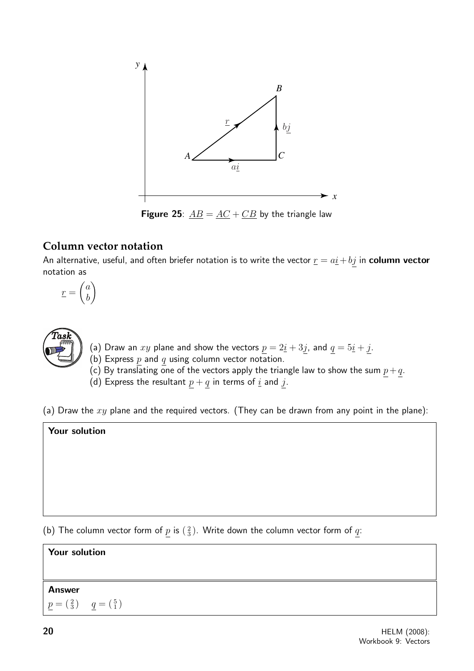

**Figure 25**:  $\underline{AB} = \underline{AC} + \underline{CB}$  by the triangle law

# **Column vector notation**

An alternative, useful, and often briefer notation is to write the vector  $\underline{r} = a\underline{i} + b\underline{j}$  in column vector notation as

$$
\underline{r} = \begin{pmatrix} a \\ b \end{pmatrix}
$$



- (a) Draw an  $xy$  plane and show the vectors  $\underline{p} = 2\underline{i} + 3\underline{j}$ , and  $\underline{q} = 5\underline{i} + \underline{j}$ .
- (b) Express  $p$  and  $q$  using column vector notation.

(c) By translating one of the vectors apply the triangle law to show the sum  $\underline{p}+\underline{q}$ .

(d) Express the resultant  $p + q$  in terms of  $\underline{i}$  and  $j$ .

(a) Draw the  $xy$  plane and the required vectors. (They can be drawn from any point in the plane):

### Your solution

(b) The column vector form of  $\underline{p}$  is  $(\frac{2}{3})$ . Write down the column vector form of  $\underline{q}$ :

# Your solution Answer

$$
\underline{p} = \begin{pmatrix} 2 \\ 3 \end{pmatrix} \quad \underline{q} = \begin{pmatrix} 5 \\ 1 \end{pmatrix}
$$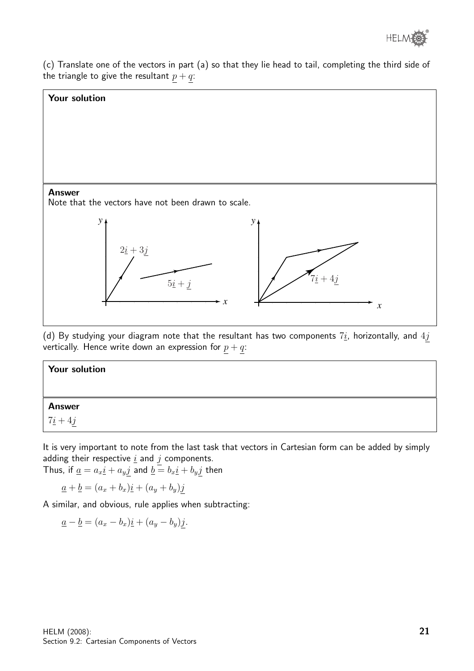

(c) Translate one of the vectors in part (a) so that they lie head to tail, completing the third side of the triangle to give the resultant  $p + q$ :



(d) By studying your diagram note that the resultant has two components  $7\underline{i}$ , horizontally, and  $4\underline{j}$ vertically. Hence write down an expression for  $p + q$ :

| Your solution |  |
|---------------|--|
|               |  |
| <b>Answer</b> |  |
| $7i + 4j$     |  |

It is very important to note from the last task that vectors in Cartesian form can be added by simply adding their respective  $\underline{i}$  and  $j$  components.

Thus, if  $\underline{a} = a_x \underline{i} + a_y \underline{j}$  and  $\underline{b} = b_x \underline{i} + b_y \underline{j}$  then

$$
\underline{a} + \underline{b} = (a_x + b_x)\underline{i} + (a_y + b_y)\underline{j}
$$

A similar, and obvious, rule applies when subtracting:

$$
\underline{a} - \underline{b} = (a_x - b_x)\underline{i} + (a_y - b_y)\underline{j}.
$$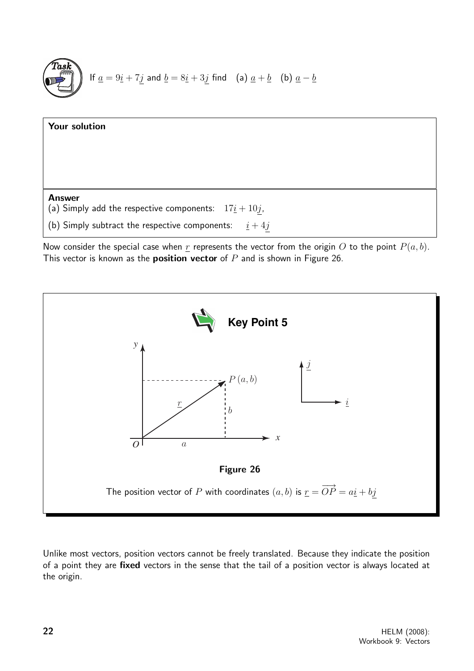



Now consider the special case when r represents the vector from the origin O to the point  $P(a, b)$ . This vector is known as the **position vector** of  $P$  and is shown in Figure 26.



Unlike most vectors, position vectors cannot be freely translated. Because they indicate the position of a point they are fixed vectors in the sense that the tail of a position vector is always located at the origin.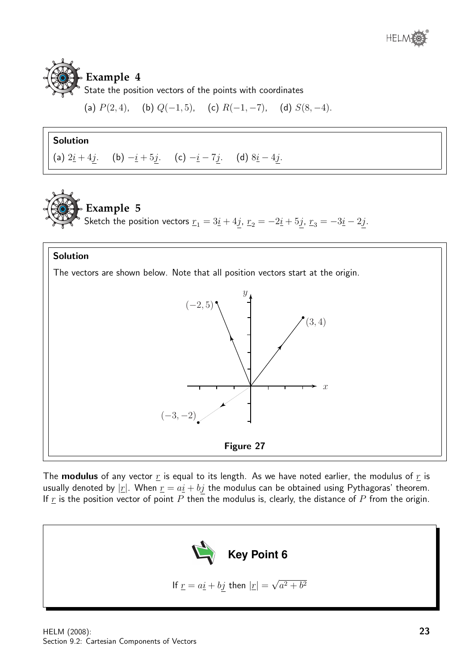# **Example 4**

State the position vectors of the points with coordinates

(a)  $P(2, 4)$ , (b)  $Q(-1, 5)$ , (c)  $R(-1, -7)$ , (d)  $S(8, -4)$ .

## Solution

(a)  $2\underline{i} + 4\underline{j}$ . (b)  $-\underline{i} + 5\underline{j}$ . (c)  $-\underline{i} - 7\underline{j}$ . (d)  $8\underline{i} - 4\underline{j}$ .

**Example 5** Sketch the position vectors  $\underline{r}_1 = 3\underline{i} + 4j$ ,  $\underline{r}_2 = -2\underline{i} + 5j$ ,  $\underline{r}_3 = -3\underline{i} - 2j$ .

### Solution

The vectors are shown below. Note that all position vectors start at the origin.



The **modulus** of any vector  $\underline{r}$  is equal to its length. As we have noted earlier, the modulus of  $\underline{r}$  is usually denoted by  $|\underline{r}|$ . When  $\underline{r} = a\underline{i} + b\underline{j}$  the modulus can be obtained using Pythagoras' theorem. If  $\underline{r}$  is the position vector of point  $P$  then the modulus is, clearly, the distance of  $P$  from the origin.

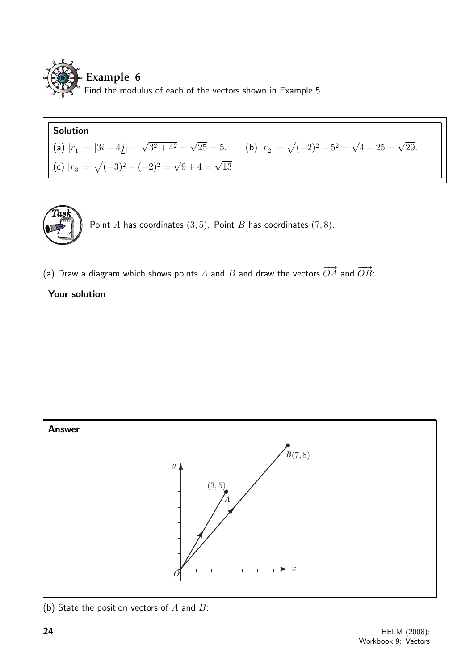

# Solution

(a) 
$$
|z_1| = |3\underline{i} + 4\underline{j}| = \sqrt{3^2 + 4^2} = \sqrt{25} = 5
$$
.  
\n(b)  $|z_2| = \sqrt{(-2)^2 + 5^2} = \sqrt{4 + 25} = \sqrt{29}$ .  
\n(c)  $|z_3| = \sqrt{(-3)^2 + (-2)^2} = \sqrt{9 + 4} = \sqrt{13}$ 



Point A has coordinates  $(3, 5)$ . Point B has coordinates  $(7, 8)$ .

(a) Draw a diagram which shows points A and B and draw the vectors  $\overrightarrow{OA}$  and  $\overrightarrow{OB}$ :



(b) State the position vectors of  $A$  and  $B$ :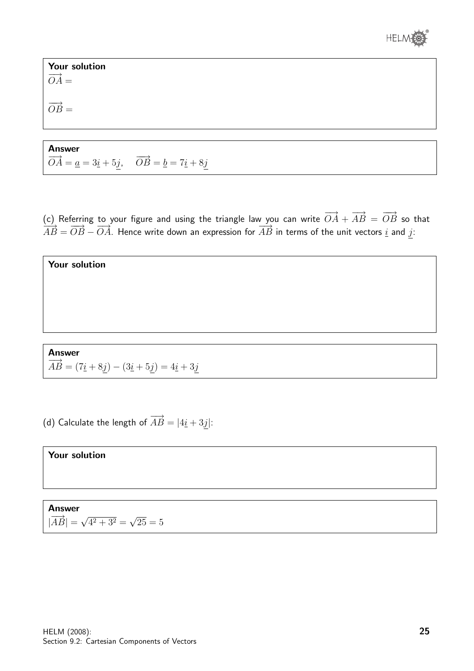

Your solution  $\overrightarrow{OA}$  =  $\overrightarrow{OB}$  =

Answer  $\overrightarrow{OA} = \underline{a} = 3\underline{i} + 5\underline{j}, \quad \overrightarrow{OB} = \underline{b} = 7\underline{i} + 8\underline{j}$ 

(c) Referring to your figure and using the triangle law you can write  $\overrightarrow{OA}+\overrightarrow{AB}=\overrightarrow{OB}$  so that  $\overrightarrow{AB} = \overrightarrow{OB} - \overrightarrow{OA}$ . Hence write down an expression for  $\overrightarrow{AB}$  in terms of the unit vectors i and j:

 $\overrightarrow{AB} = (7\underline{i} + 8\underline{j}) - (3\underline{i} + 5\underline{j}) = 4\underline{i} + 3\underline{j}$ 

(d) Calculate the length of  $\overrightarrow{AB} = |4\underline{i} + 3\underline{j}|$ :

Your solution

Your solution

Answer

Answer  $|\overrightarrow{AB}| = \sqrt{}$  $4^2 + 3^2 =$ √  $25 = 5$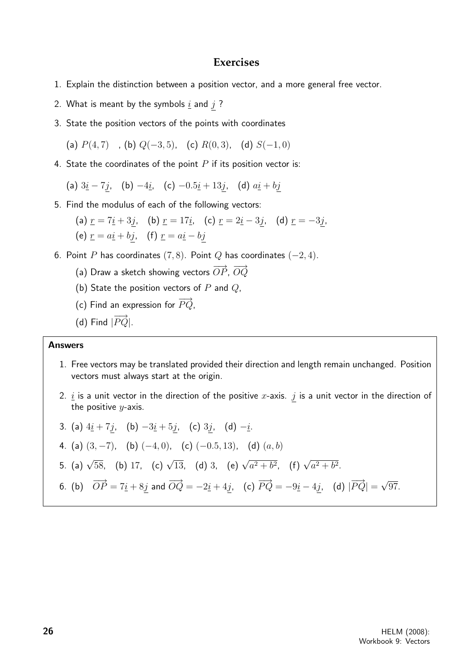#### **Exercises**

- 1. Explain the distinction between a position vector, and a more general free vector.
- 2. What is meant by the symbols  $\underline{i}$  and  $j$  ?
- 3. State the position vectors of the points with coordinates

(a)  $P(4, 7)$ , (b)  $Q(-3, 5)$ , (c)  $R(0, 3)$ , (d)  $S(-1, 0)$ 

4. State the coordinates of the point  $P$  if its position vector is:

(a)  $3i - 7j$ , (b)  $-4i$ , (c)  $-0.5i + 13j$ , (d)  $a i + bj$ 

5. Find the modulus of each of the following vectors:

(a) 
$$
\underline{r} = 7\underline{i} + 3\underline{j}
$$
, (b)  $\underline{r} = 17\underline{i}$ , (c)  $\underline{r} = 2\underline{i} - 3\underline{j}$ , (d)  $\underline{r} = -3\underline{j}$ ,  
(e)  $\underline{r} = a\underline{i} + b\underline{j}$ , (f)  $\underline{r} = a\underline{i} - b\underline{j}$ 

- 6. Point P has coordinates  $(7, 8)$ . Point Q has coordinates  $(-2, 4)$ .
	- (a) Draw a sketch showing vectors  $\overrightarrow{OP}, \overrightarrow{OQ}$
	- (b) State the position vectors of  $P$  and  $Q$ ,
	- (c) Find an expression for  $\overrightarrow{PQ}$ ,
	- (d) Find  $|\overrightarrow{PQ}|$ .

#### Answers

- 1. Free vectors may be translated provided their direction and length remain unchanged. Position vectors must always start at the origin.
- 2.  $i$  is a unit vector in the direction of the positive x-axis. j is a unit vector in the direction of the positive  $y$ -axis.

3. (a) 
$$
4\underline{i} + 7\underline{j}
$$
, (b)  $-3\underline{i} + 5\underline{j}$ , (c)  $3\underline{j}$ , (d)  $-\underline{i}$ .  
\n4. (a)  $(3, -7)$ , (b)  $(-4, 0)$ , (c)  $(-0.5, 13)$ , (d)  $(a, b)$   
\n5. (a)  $\sqrt{58}$ , (b) 17, (c)  $\sqrt{13}$ , (d) 3, (e)  $\sqrt{a^2 + b^2}$ , (f)  $\sqrt{a^2 + b^2}$ .  
\n6. (b)  $\overrightarrow{OP} = 7\underline{i} + 8\underline{j}$  and  $\overrightarrow{OQ} = -2\underline{i} + 4\underline{j}$ , (c)  $\overrightarrow{PQ} = -9\underline{i} - 4\underline{j}$ , (d)  $|\overrightarrow{PQ}| = \sqrt{97}$ .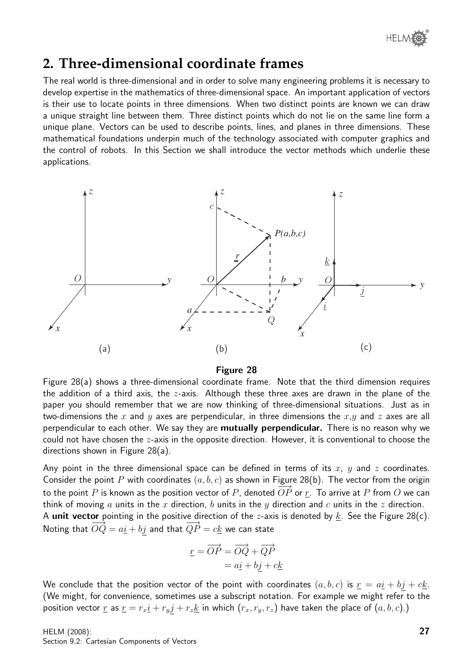

# **2. Three-dimensional coordinate frames**

The real world is three-dimensional and in order to solve many engineering problems it is necessary to develop expertise in the mathematics of three-dimensional space. An important application of vectors is their use to locate points in three dimensions. When two distinct points are known we can draw a unique straight line between them. Three distinct points which do not lie on the same line form a unique plane. Vectors can be used to describe points, lines, and planes in three dimensions. These mathematical foundations underpin much of the technology associated with computer graphics and the control of robots. In this Section we shall introduce the vector methods which underlie these applications.



#### Figure 28

Figure 28(a) shows a three-dimensional coordinate frame. Note that the third dimension requires the addition of a third axis, the  $z$ -axis. Although these three axes are drawn in the plane of the paper you should remember that we are now thinking of three-dimensional situations. Just as in two-dimensions the x and y axes are perpendicular, in three dimensions the  $x,y$  and z axes are all perpendicular to each other. We say they are **mutually perpendicular.** There is no reason why we could not have chosen the z-axis in the opposite direction. However, it is conventional to choose the directions shown in Figure 28(a).

Any point in the three dimensional space can be defined in terms of its  $x$ ,  $y$  and  $z$  coordinates. Consider the point P with coordinates  $(a, b, c)$  as shown in Figure 28(b). The vector from the origin to the point P is known as the position vector of P, denoted  $\overrightarrow{OP}$  or r. To arrive at P from O we can think of moving a units in the x direction, b units in the y direction and c units in the z direction. A unit vector pointing in the positive direction of the *z*-axis is denoted by  $k$ . See the Figure 28(c). Noting that  $\overrightarrow{OQ} = a\underline{i} + b\underline{j}$  and that  $\overrightarrow{QP} = c\underline{k}$  we can state

$$
\underline{r} = \overrightarrow{OP} = \overrightarrow{OQ} + \overrightarrow{QP}
$$

$$
= a\underline{i} + b\underline{j} + c\underline{k}
$$

We conclude that the position vector of the point with coordinates  $(a, b, c)$  is  $\underline{r} = a\underline{i} + b\underline{j} + c\underline{k}$ . (We might, for convenience, sometimes use a subscript notation. For example we might refer to the position vector  $\underline{r}$  as  $\underline{r} = r_x \underline{i} + r_y \underline{j} + r_z \underline{k}$  in which  $(r_x, r_y, r_z)$  have taken the place of  $(a, b, c)$ .)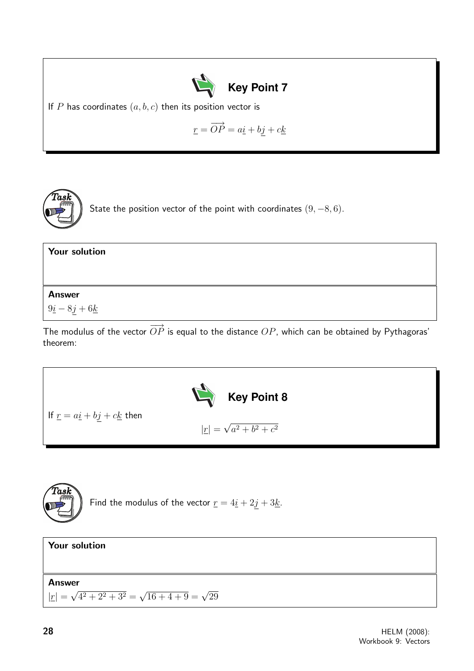

If  $P$  has coordinates  $(a, b, c)$  then its position vector is

$$
\underline{r} = \overrightarrow{OP} = a\underline{i} + b\underline{j} + c\underline{k}
$$



State the position vector of the point with coordinates  $(9, -8, 6)$ .

| <b>Your solution</b> |  |  |
|----------------------|--|--|
|                      |  |  |
| <b>Answer</b>        |  |  |
| $9i - 8j + 6k$       |  |  |

The modulus of the vector  $\overrightarrow{OP}$  is equal to the distance  $OP$ , which can be obtained by Pythagoras' theorem:





Find the modulus of the vector  $\underline{r} = 4\underline{i} + 2\underline{j} + 3\underline{k}$ .

| <b>Your solution</b>                                                       |  |
|----------------------------------------------------------------------------|--|
| <b>Answer</b>                                                              |  |
| $ \underline{r}  = \sqrt{4^2 + 2^2 + 3^2} = \sqrt{16 + 4 + 9} = \sqrt{29}$ |  |